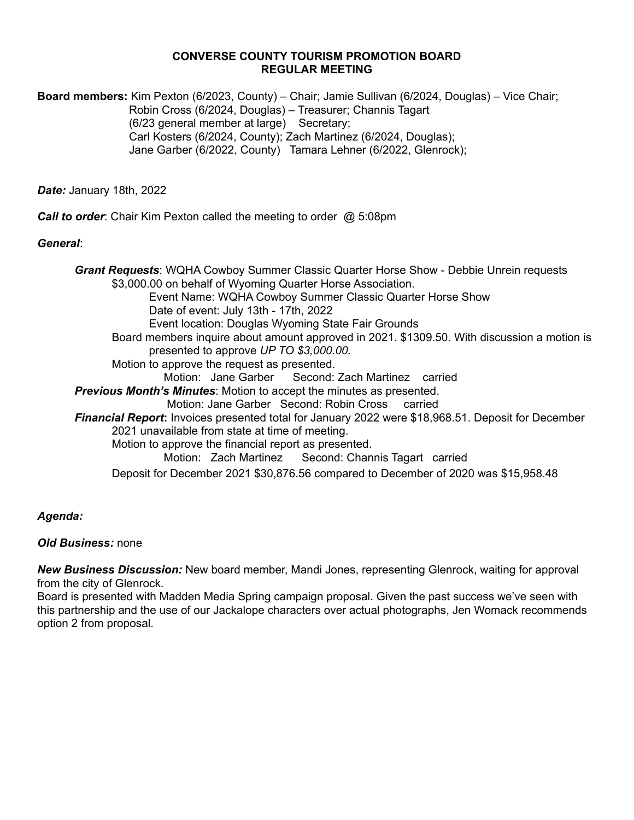#### **CONVERSE COUNTY TOURISM PROMOTION BOARD REGULAR MEETING**

**Board members:** Kim Pexton (6/2023, County) – Chair; Jamie Sullivan (6/2024, Douglas) – Vice Chair; Robin Cross (6/2024, Douglas) – Treasurer; Channis Tagart (6/23 general member at large) Secretary; Carl Kosters (6/2024, County); Zach Martinez (6/2024, Douglas); Jane Garber (6/2022, County) Tamara Lehner (6/2022, Glenrock);

*Date:* January 18th, 2022

*Call to order*: Chair Kim Pexton called the meeting to order @ 5:08pm

### *General*:

*Grant Requests*: WQHA Cowboy Summer Classic Quarter Horse Show - Debbie Unrein requests \$3,000.00 on behalf of Wyoming Quarter Horse Association. Event Name: WQHA Cowboy Summer Classic Quarter Horse Show Date of event: July 13th - 17th, 2022 Event location: Douglas Wyoming State Fair Grounds Board members inquire about amount approved in 2021. \$1309.50. With discussion a motion is presented to approve *UP TO \$3,000.00.* Motion to approve the request as presented. Motion: Jane Garber Second: Zach Martinez carried *Previous Month's Minutes*: Motion to accept the minutes as presented. Motion: Jane Garber Second: Robin Cross carried *Financial Report***:** Invoices presented total for January 2022 were \$18,968.51. Deposit for December 2021 unavailable from state at time of meeting. Motion to approve the financial report as presented. Motion: Zach Martinez Second: Channis Tagart carried Deposit for December 2021 \$30,876.56 compared to December of 2020 was \$15,958.48

## *Agenda:*

#### *Old Business:* none

*New Business Discussion:* New board member, Mandi Jones, representing Glenrock, waiting for approval from the city of Glenrock.

Board is presented with Madden Media Spring campaign proposal. Given the past success we've seen with this partnership and the use of our Jackalope characters over actual photographs, Jen Womack recommends option 2 from proposal.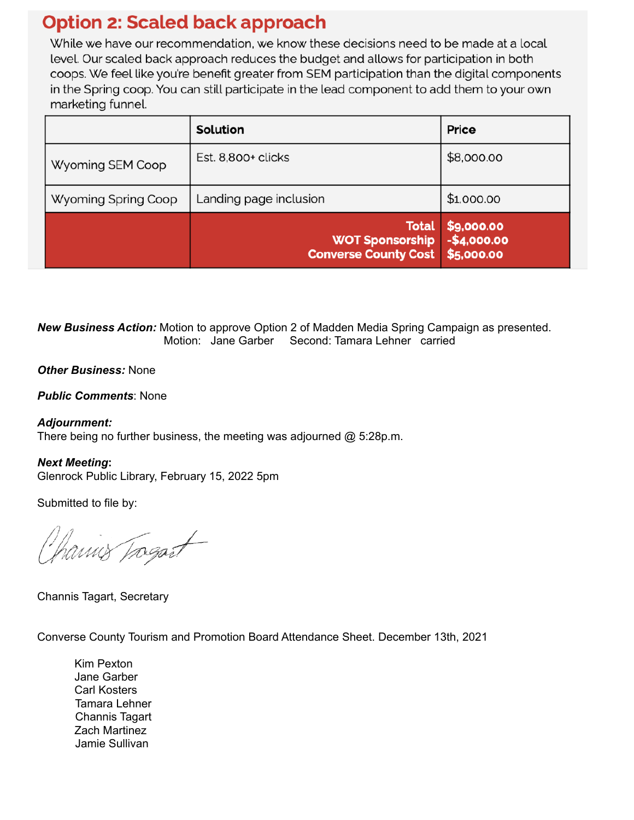# **Option 2: Scaled back approach**

While we have our recommendation, we know these decisions need to be made at a local level. Our scaled back approach reduces the budget and allows for participation in both coops. We feel like you're benefit greater from SEM participation than the digital components in the Spring coop. You can still participate in the lead component to add them to your own marketing funnel.

|                     | Solution                                                              | Price                                    |
|---------------------|-----------------------------------------------------------------------|------------------------------------------|
| Wyoming SEM Coop    | Est. 8,800+ clicks                                                    | \$8,000.00                               |
| Wyoming Spring Coop | Landing page inclusion                                                | \$1,000.00                               |
|                     | <b>Total</b><br><b>WOT Sponsorship</b><br><b>Converse County Cost</b> | \$9,000.00<br>$-$4,000.00$<br>\$5,000.00 |

*New Business Action:* Motion to approve Option 2 of Madden Media Spring Campaign as presented. Motion: Jane Garber Second: Tamara Lehner carried

*Other Business:* None

*Public Comments*: None

*Adjournment:* There being no further business, the meeting was adjourned @ 5:28p.m.

*Next Meeting***:** 

Glenrock Public Library, February 15, 2022 5pm

Submitted to file by:

hamis Tragait

Channis Tagart, Secretary

Converse County Tourism and Promotion Board Attendance Sheet. December 13th, 2021

Kim Pexton Jane Garber Carl Kosters Tamara Lehner Channis Tagart Zach Martinez Jamie Sullivan